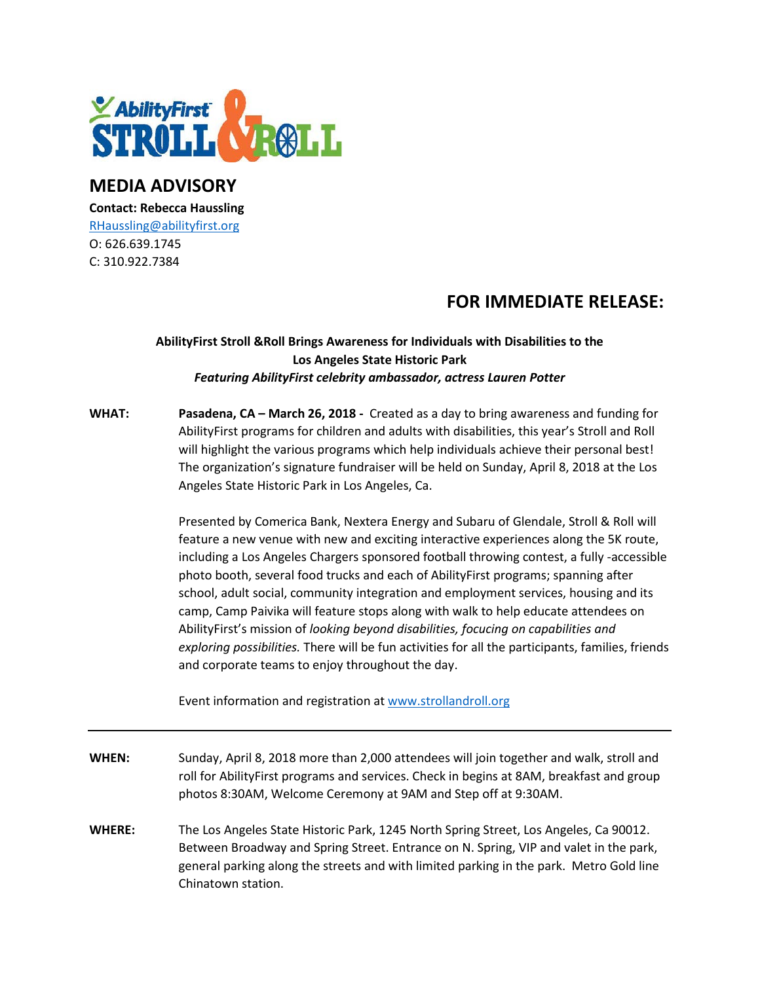

## **MEDIA ADVISORY**

**Contact: Rebecca Haussling** [RHaussling@abilityfirst.org](mailto:RHaussling@abilityfirst.org) O: 626.639.1745 C: 310.922.7384

# **FOR IMMEDIATE RELEASE:**

## **AbilityFirst Stroll &Roll Brings Awareness for Individuals with Disabilities to the Los Angeles State Historic Park** *Featuring AbilityFirst celebrity ambassador, actress Lauren Potter*

**WHAT: Pasadena, CA – March 26, 2018 -** Created as a day to bring awareness and funding for AbilityFirst programs for children and adults with disabilities, this year's Stroll and Roll will highlight the various programs which help individuals achieve their personal best! The organization's signature fundraiser will be held on Sunday, April 8, 2018 at the Los Angeles State Historic Park in Los Angeles, Ca.

> Presented by Comerica Bank, Nextera Energy and Subaru of Glendale, Stroll & Roll will feature a new venue with new and exciting interactive experiences along the 5K route, including a Los Angeles Chargers sponsored football throwing contest, a fully -accessible photo booth, several food trucks and each of AbilityFirst programs; spanning after school, adult social, community integration and employment services, housing and its camp, Camp Paivika will feature stops along with walk to help educate attendees on AbilityFirst's mission of *looking beyond disabilities, focucing on capabilities and exploring possibilities.* There will be fun activities for all the participants, families, friends and corporate teams to enjoy throughout the day.

Event information and registration a[t www.strollandroll.org](http://www.strollandroll.org/)

- **WHEN:** Sunday, April 8, 2018 more than 2,000 attendees will join together and walk, stroll and roll for AbilityFirst programs and services. Check in begins at 8AM, breakfast and group photos 8:30AM, Welcome Ceremony at 9AM and Step off at 9:30AM.
- **WHERE:** The Los Angeles State Historic Park, 1245 North Spring Street, Los Angeles, Ca 90012. Between Broadway and Spring Street. Entrance on N. Spring, VIP and valet in the park, general parking along the streets and with limited parking in the park. Metro Gold line Chinatown station.